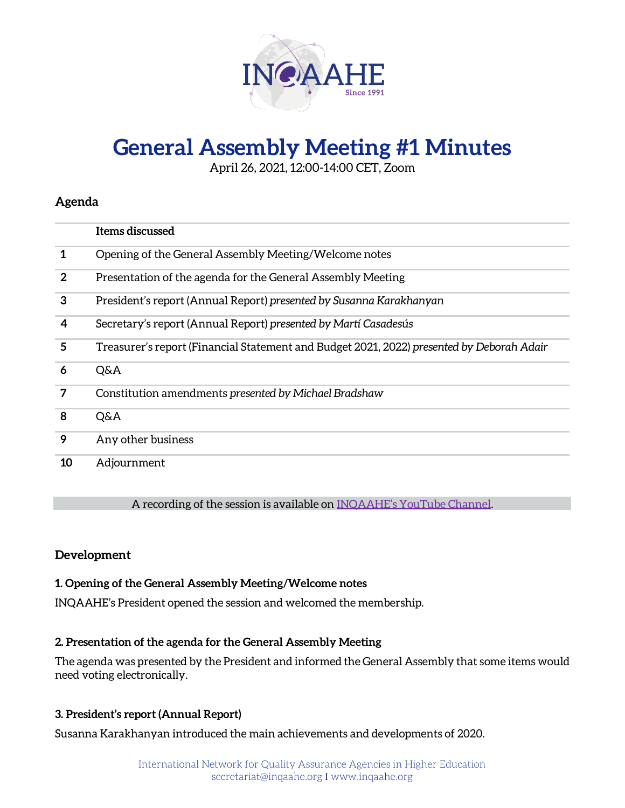

# **General Assembly Meeting #1 Minutes**

April 26, 2021, 12:00-14:00 CET, Zoom

## **Agenda**

|              | Items discussed                                                                           |
|--------------|-------------------------------------------------------------------------------------------|
| 1            | Opening of the General Assembly Meeting/Welcome notes                                     |
| $\mathbf{2}$ | Presentation of the agenda for the General Assembly Meeting                               |
| 3            | President's report (Annual Report) presented by Susanna Karakhanyan                       |
| 4            | Secretary's report (Annual Report) presented by Martí Casadesús                           |
| 5            | Treasurer's report (Financial Statement and Budget 2021, 2022) presented by Deborah Adair |
| 6            | Q&A                                                                                       |
| 7            | Constitution amendments presented by Michael Bradshaw                                     |
| 8            | Q&A                                                                                       |
| 9            | Any other business                                                                        |
| 10           | Adjournment                                                                               |

A recording of the session is available on [INQAAHE's YouTube Channel](https://www.youtube.com/watch?v=b-CVAH6UyZc).

## **Development**

## **1. Opening of the General Assembly Meeting/Welcome notes**

INQAAHE's President opened the session and welcomed the membership.

## **2. Presentation of the agenda for the General Assembly Meeting**

The agenda was presented by the President and informed the General Assembly that some items would need voting electronically.

## **3. President's report (Annual Report)**

Susanna Karakhanyan introduced the main achievements and developments of 2020.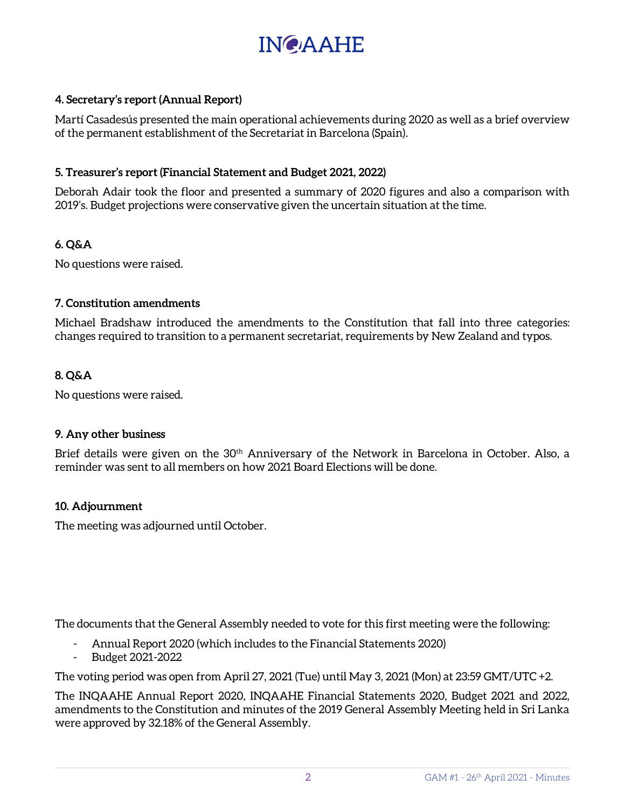

## **4. Secretary's report (Annual Report)**

Martí Casadesús presented the main operational achievements during 2020 as well as a brief overview of the permanent establishment of the Secretariat in Barcelona (Spain).

## **5. Treasurer's report (Financial Statement and Budget 2021, 2022)**

Deborah Adair took the floor and presented a summary of 2020 figures and also a comparison with 2019's. Budget projections were conservative given the uncertain situation at the time.

## **6. Q&A**

No questions were raised.

## **7. Constitution amendments**

Michael Bradshaw introduced the amendments to the Constitution that fall into three categories: changes required to transition to a permanent secretariat, requirements by New Zealand and typos.

## **8. Q&A**

No questions were raised.

## **9. Any other business**

Brief details were given on the 30<sup>th</sup> Anniversary of the Network in Barcelona in October. Also, a reminder was sent to all members on how 2021 Board Elections will be done.

## **10. Adjournment**

The meeting was adjourned until October.

The documents that the General Assembly needed to vote for this first meeting were the following:

- Annual Report 2020 (which includes to the Financial Statements 2020)
- Budget 2021-2022

The voting period was open from April 27, 2021 (Tue) until May 3, 2021 (Mon) at 23:59 GMT/UTC +2.

The INQAAHE Annual Report 2020, INQAAHE Financial Statements 2020, Budget 2021 and 2022, amendments to the Constitution and minutes of the 2019 General Assembly Meeting held in Sri Lanka were approved by 32.18% of the General Assembly.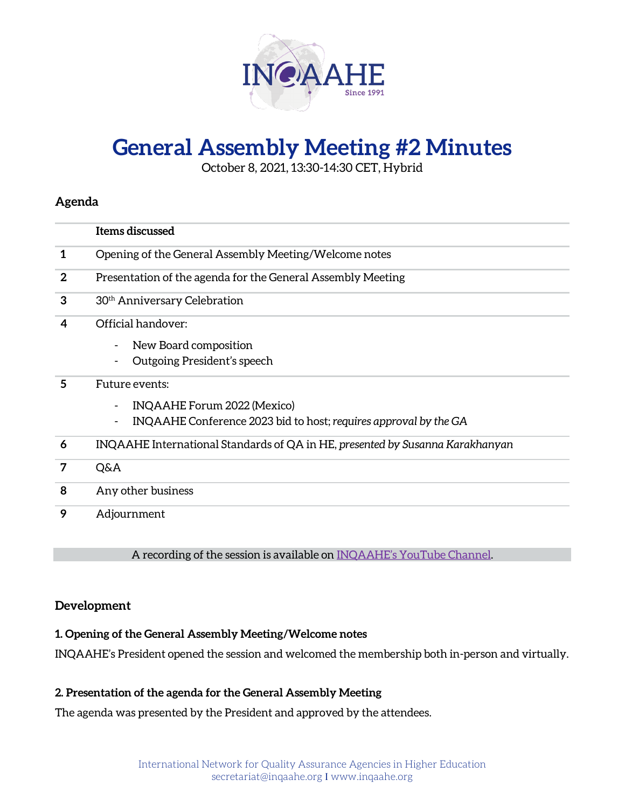

# **General Assembly Meeting #2 Minutes**

October 8, 2021, 13:30-14:30 CET, Hybrid

## **Agenda**

|              | Items discussed                                                               |
|--------------|-------------------------------------------------------------------------------|
| 1            | Opening of the General Assembly Meeting/Welcome notes                         |
| $\mathbf{2}$ | Presentation of the agenda for the General Assembly Meeting                   |
| 3            | 30 <sup>th</sup> Anniversary Celebration                                      |
| 4            | Official handover:                                                            |
|              | New Board composition<br>$\overline{\phantom{a}}$                             |
|              | Outgoing President's speech                                                   |
| 5            | Future events:                                                                |
|              | INQAAHE Forum 2022 (Mexico)                                                   |
|              | INQAAHE Conference 2023 bid to host; requires approval by the GA              |
| 6            | INQAAHE International Standards of QA in HE, presented by Susanna Karakhanyan |
| 7            | Q&A                                                                           |
| 8            | Any other business                                                            |
| 9            | Adjournment                                                                   |

A recording of the session is available on [INQAAHE's YouTube Channel.](https://www.youtube.com/watch?v=FlDRgo7cdyw)

## **Development**

## **1. Opening of the General Assembly Meeting/Welcome notes**

INQAAHE's President opened the session and welcomed the membership both in-person and virtually.

## **2. Presentation of the agenda for the General Assembly Meeting**

The agenda was presented by the President and approved by the attendees.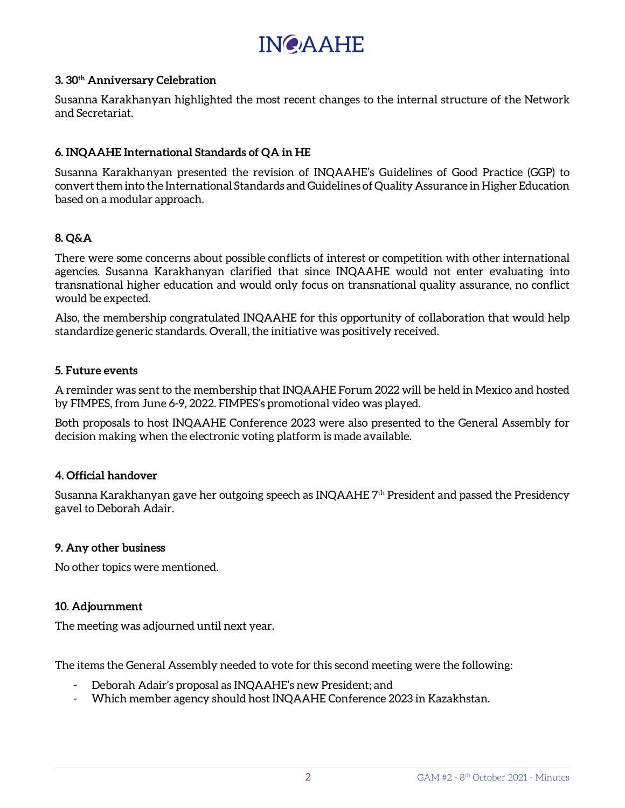# **INCAAHE**

#### **3. 30th Anniversary Celebration**

Susanna Karakhanyan highlighted the most recent changes to the internal structure of the Network and Secretariat.

## **6. INQAAHE International Standards of QA in HE**

Susanna Karakhanyan presented the revision of INQAAHE's Guidelines of Good Practice (GGP) to convert them into the International Standards and Guidelines of Quality Assurance in Higher Education based on a modular approach.

## **8. Q&A**

There were some concerns about possible conflicts of interest or competition with other international agencies. Susanna Karakhanyan clarified that since INQAAHE would not enter evaluating into transnational higher education and would only focus on transnational quality assurance, no conflict would be expected.

Also, the membership congratulated INQAAHE for this opportunity of collaboration that would help standardize generic standards. Overall, the initiative was positively received.

## **5. Future events**

A reminder was sent to the membership that INQAAHE Forum 2022 will be held in Mexico and hosted by FIMPES, from June 6-9, 2022. FIMPES's promotional video was played.

Both proposals to host INQAAHE Conference 2023 were also presented to the General Assembly for decision making when the electronic voting platform is made available.

## **4. Official handover**

Susanna Karakhanyan gave her outgoing speech as INQAAHE  $7<sup>th</sup>$  President and passed the Presidency gavel to Deborah Adair.

## **9. Any other business**

No other topics were mentioned.

## **10. Adjournment**

The meeting was adjourned until next year.

The items the General Assembly needed to vote for this second meeting were the following:

- Deborah Adair's proposal as INQAAHE's new President; and
- Which member agency should host INQAAHE Conference 2023 in Kazakhstan.